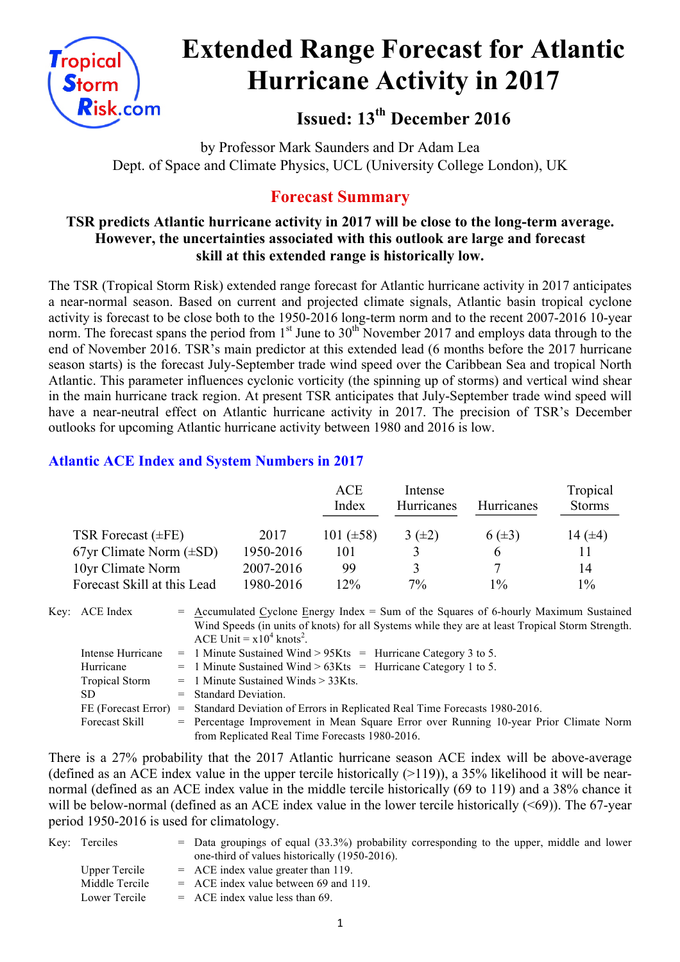

# **Extended Range Forecast for Atlantic Hurricane Activity in 2017**

**Issued: 13th December 2016**

by Professor Mark Saunders and Dr Adam Lea Dept. of Space and Climate Physics, UCL (University College London), UK

## **Forecast Summary**

#### **TSR predicts Atlantic hurricane activity in 2017 will be close to the long-term average. However, the uncertainties associated with this outlook are large and forecast skill at this extended range is historically low.**

The TSR (Tropical Storm Risk) extended range forecast for Atlantic hurricane activity in 2017 anticipates a near-normal season. Based on current and projected climate signals, Atlantic basin tropical cyclone activity is forecast to be close both to the 1950-2016 long-term norm and to the recent 2007-2016 10-year norm. The forecast spans the period from  $1<sup>st</sup>$  June to  $30<sup>th</sup>$  November 2017 and employs data through to the end of November 2016. TSR's main predictor at this extended lead (6 months before the 2017 hurricane season starts) is the forecast July-September trade wind speed over the Caribbean Sea and tropical North Atlantic. This parameter influences cyclonic vorticity (the spinning up of storms) and vertical wind shear in the main hurricane track region. At present TSR anticipates that July-September trade wind speed will have a near-neutral effect on Atlantic hurricane activity in 2017. The precision of TSR's December outlooks for upcoming Atlantic hurricane activity between 1980 and 2016 is low.

### **Atlantic ACE Index and System Numbers in 2017**

|                              |           | <b>ACE</b><br>Index | Intense<br>Hurricanes | <b>Hurricanes</b> | Tropical<br><b>Storms</b> |
|------------------------------|-----------|---------------------|-----------------------|-------------------|---------------------------|
| TSR Forecast $(\pm FE)$      | 2017      | 101 $(\pm 58)$      | $3(\pm 2)$            | $6(\pm 3)$        | 14 $(±4)$                 |
| 67yr Climate Norm $(\pm SD)$ | 1950-2016 | 101                 |                       | b                 |                           |
| 10yr Climate Norm            | 2007-2016 | 99                  |                       |                   | 14                        |
| Forecast Skill at this Lead  | 1980-2016 | 12%                 | $7\%$                 | $1\%$             | $1\%$                     |

Key: ACE Index  $=$  Accumulated Cyclone Energy Index = Sum of the Squares of 6-hourly Maximum Sustained Wind Speeds (in units of knots) for all Systems while they are at least Tropical Storm Strength. ACE Unit =  $x10^4$  knots<sup>2</sup>.

| Intense Hurricane     | $=$ 1 Minute Sustained Wind > 95Kts = Hurricane Category 3 to 5.                      |
|-----------------------|---------------------------------------------------------------------------------------|
| Hurricane             | $=$ 1 Minute Sustained Wind > 63Kts = Hurricane Category 1 to 5.                      |
| <b>Tropical Storm</b> | $=$ 1 Minute Sustained Winds $>$ 33Kts.                                               |
| SD.                   | $=$ Standard Deviation.                                                               |
| FE (Forecast Error)   | = Standard Deviation of Errors in Replicated Real Time Forecasts 1980-2016.           |
| Forecast Skill        | = Percentage Improvement in Mean Square Error over Running 10-year Prior Climate Norm |
|                       | from Replicated Real Time Forecasts 1980-2016.                                        |

There is a 27% probability that the 2017 Atlantic hurricane season ACE index will be above-average (defined as an ACE index value in the upper tercile historically  $(>119)$ ), a 35% likelihood it will be nearnormal (defined as an ACE index value in the middle tercile historically (69 to 119) and a 38% chance it will be below-normal (defined as an ACE index value in the lower tercile historically  $(\leq 69)$ ). The 67-year period 1950-2016 is used for climatology.

| Key: Terciles  | $=$ Data groupings of equal (33.3%) probability corresponding to the upper, middle and lower |
|----------------|----------------------------------------------------------------------------------------------|
|                | one-third of values historically (1950-2016).                                                |
| Upper Tercile  | $=$ ACE index value greater than 119.                                                        |
| Middle Tercile | $=$ ACE index value between 69 and 119.                                                      |
| Lower Tercile  | $=$ ACE index value less than 69.                                                            |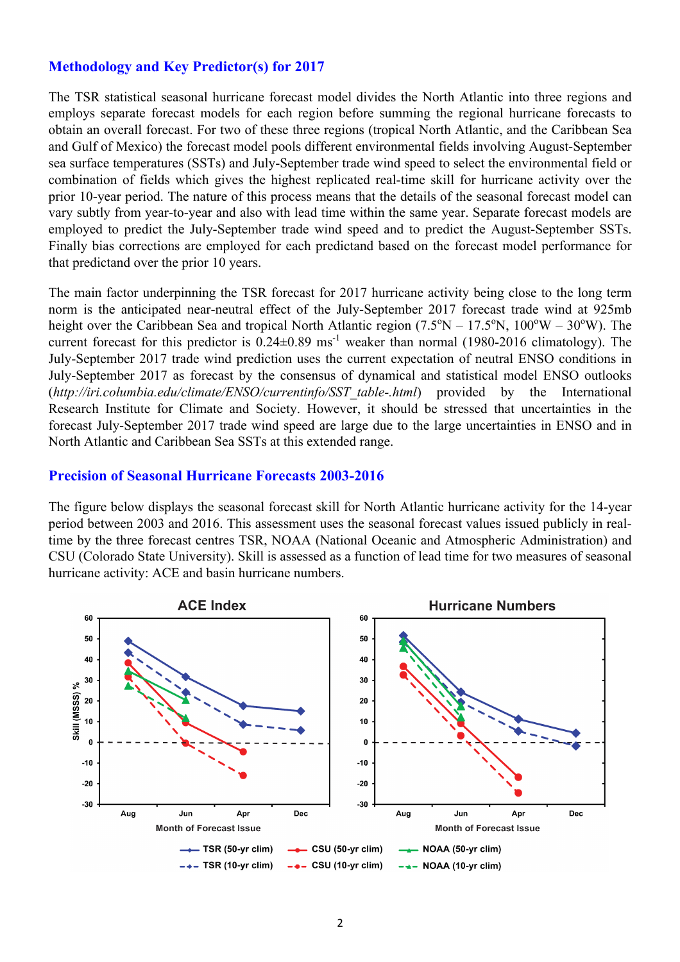#### **Methodology and Key Predictor(s) for 2017**

The TSR statistical seasonal hurricane forecast model divides the North Atlantic into three regions and employs separate forecast models for each region before summing the regional hurricane forecasts to obtain an overall forecast. For two of these three regions (tropical North Atlantic, and the Caribbean Sea and Gulf of Mexico) the forecast model pools different environmental fields involving August-September sea surface temperatures (SSTs) and July-September trade wind speed to select the environmental field or combination of fields which gives the highest replicated real-time skill for hurricane activity over the prior 10-year period. The nature of this process means that the details of the seasonal forecast model can vary subtly from year-to-year and also with lead time within the same year. Separate forecast models are employed to predict the July-September trade wind speed and to predict the August-September SSTs. Finally bias corrections are employed for each predictand based on the forecast model performance for that predictand over the prior 10 years.

The main factor underpinning the TSR forecast for 2017 hurricane activity being close to the long term norm is the anticipated near-neutral effect of the July-September 2017 forecast trade wind at 925mb height over the Caribbean Sea and tropical North Atlantic region  $(7.5^{\circ}N - 17.5^{\circ}N, 100^{\circ}W - 30^{\circ}W)$ . The current forecast for this predictor is  $0.24 \pm 0.89$  ms<sup>-1</sup> weaker than normal (1980-2016 climatology). The July-September 2017 trade wind prediction uses the current expectation of neutral ENSO conditions in July-September 2017 as forecast by the consensus of dynamical and statistical model ENSO outlooks (*http://iri.columbia.edu/climate/ENSO/currentinfo/SST\_table-.html*) provided by the International Research Institute for Climate and Society. However, it should be stressed that uncertainties in the forecast July-September 2017 trade wind speed are large due to the large uncertainties in ENSO and in North Atlantic and Caribbean Sea SSTs at this extended range.

#### **Precision of Seasonal Hurricane Forecasts 2003-2016**

The figure below displays the seasonal forecast skill for North Atlantic hurricane activity for the 14-year period between 2003 and 2016. This assessment uses the seasonal forecast values issued publicly in realtime by the three forecast centres TSR, NOAA (National Oceanic and Atmospheric Administration) and CSU (Colorado State University). Skill is assessed as a function of lead time for two measures of seasonal hurricane activity: ACE and basin hurricane numbers.